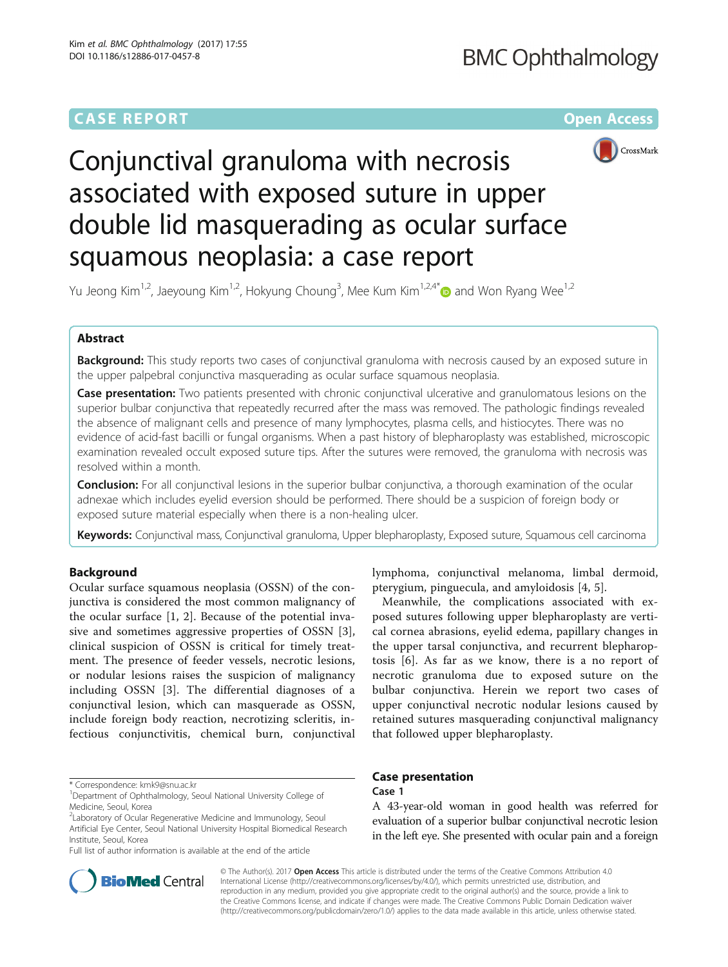# **CASE REPORT CASE REPORT CASE REPORT**



# Conjunctival granuloma with necrosis associated with exposed suture in upper double lid masquerading as ocular surface squamous neoplasia: a case report

Yu Jeong Kim<sup>1,2</sup>, Jaeyoung Kim<sup>1,2</sup>, Hokyung Choung<sup>3</sup>, Mee Kum Kim<sup>1,2,4[\\*](http://orcid.org/0000-0001-7850-6894)</sup> $\bullet$  and Won Ryang Wee<sup>1,2</sup>

# Abstract

Background: This study reports two cases of conjunctival granuloma with necrosis caused by an exposed suture in the upper palpebral conjunctiva masquerading as ocular surface squamous neoplasia.

Case presentation: Two patients presented with chronic conjunctival ulcerative and granulomatous lesions on the superior bulbar conjunctiva that repeatedly recurred after the mass was removed. The pathologic findings revealed the absence of malignant cells and presence of many lymphocytes, plasma cells, and histiocytes. There was no evidence of acid-fast bacilli or fungal organisms. When a past history of blepharoplasty was established, microscopic examination revealed occult exposed suture tips. After the sutures were removed, the granuloma with necrosis was resolved within a month.

**Conclusion:** For all conjunctival lesions in the superior bulbar conjunctiva, a thorough examination of the ocular adnexae which includes eyelid eversion should be performed. There should be a suspicion of foreign body or exposed suture material especially when there is a non-healing ulcer.

Keywords: Conjunctival mass, Conjunctival granuloma, Upper blepharoplasty, Exposed suture, Squamous cell carcinoma

## Background

Ocular surface squamous neoplasia (OSSN) of the conjunctiva is considered the most common malignancy of the ocular surface [\[1](#page-3-0), [2](#page-3-0)]. Because of the potential invasive and sometimes aggressive properties of OSSN [\[3](#page-3-0)], clinical suspicion of OSSN is critical for timely treatment. The presence of feeder vessels, necrotic lesions, or nodular lesions raises the suspicion of malignancy including OSSN [\[3](#page-3-0)]. The differential diagnoses of a conjunctival lesion, which can masquerade as OSSN, include foreign body reaction, necrotizing scleritis, infectious conjunctivitis, chemical burn, conjunctival

\* Correspondence: [kmk9@snu.ac.kr](mailto:kmk9@snu.ac.kr) <sup>1</sup>

Full list of author information is available at the end of the article



lymphoma, conjunctival melanoma, limbal dermoid, pterygium, pinguecula, and amyloidosis [[4](#page-3-0), [5](#page-3-0)].

Meanwhile, the complications associated with exposed sutures following upper blepharoplasty are vertical cornea abrasions, eyelid edema, papillary changes in the upper tarsal conjunctiva, and recurrent blepharoptosis [[6\]](#page-3-0). As far as we know, there is a no report of necrotic granuloma due to exposed suture on the bulbar conjunctiva. Herein we report two cases of upper conjunctival necrotic nodular lesions caused by retained sutures masquerading conjunctival malignancy that followed upper blepharoplasty.

# Case presentation

# Case 1

A 43-year-old woman in good health was referred for evaluation of a superior bulbar conjunctival necrotic lesion in the left eye. She presented with ocular pain and a foreign

© The Author(s). 2017 Open Access This article is distributed under the terms of the Creative Commons Attribution 4.0 International License [\(http://creativecommons.org/licenses/by/4.0/](http://creativecommons.org/licenses/by/4.0/)), which permits unrestricted use, distribution, and reproduction in any medium, provided you give appropriate credit to the original author(s) and the source, provide a link to the Creative Commons license, and indicate if changes were made. The Creative Commons Public Domain Dedication waiver [\(http://creativecommons.org/publicdomain/zero/1.0/](http://creativecommons.org/publicdomain/zero/1.0/)) applies to the data made available in this article, unless otherwise stated.

<sup>&</sup>lt;sup>1</sup>Department of Ophthalmology, Seoul National University College of Medicine, Seoul, Korea

<sup>&</sup>lt;sup>2</sup> Laboratory of Ocular Regenerative Medicine and Immunology, Seoul Artificial Eye Center, Seoul National University Hospital Biomedical Research Institute, Seoul, Korea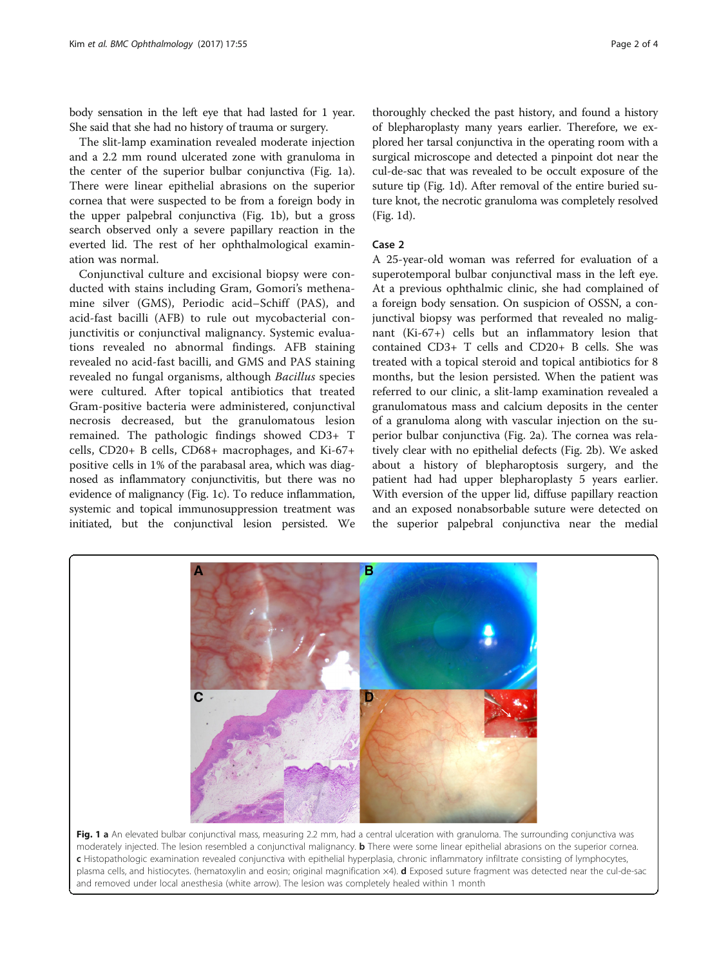body sensation in the left eye that had lasted for 1 year. She said that she had no history of trauma or surgery.

The slit-lamp examination revealed moderate injection and a 2.2 mm round ulcerated zone with granuloma in the center of the superior bulbar conjunctiva (Fig. 1a). There were linear epithelial abrasions on the superior cornea that were suspected to be from a foreign body in the upper palpebral conjunctiva (Fig. 1b), but a gross search observed only a severe papillary reaction in the everted lid. The rest of her ophthalmological examination was normal.

Conjunctival culture and excisional biopsy were conducted with stains including Gram, Gomori's methenamine silver (GMS), Periodic acid–Schiff (PAS), and acid-fast bacilli (AFB) to rule out mycobacterial conjunctivitis or conjunctival malignancy. Systemic evaluations revealed no abnormal findings. AFB staining revealed no acid-fast bacilli, and GMS and PAS staining revealed no fungal organisms, although Bacillus species were cultured. After topical antibiotics that treated Gram-positive bacteria were administered, conjunctival necrosis decreased, but the granulomatous lesion remained. The pathologic findings showed CD3+ T cells, CD20+ B cells, CD68+ macrophages, and Ki-67+ positive cells in 1% of the parabasal area, which was diagnosed as inflammatory conjunctivitis, but there was no evidence of malignancy (Fig. 1c). To reduce inflammation, systemic and topical immunosuppression treatment was initiated, but the conjunctival lesion persisted. We thoroughly checked the past history, and found a history of blepharoplasty many years earlier. Therefore, we explored her tarsal conjunctiva in the operating room with a surgical microscope and detected a pinpoint dot near the cul-de-sac that was revealed to be occult exposure of the suture tip (Fig. 1d). After removal of the entire buried suture knot, the necrotic granuloma was completely resolved (Fig. 1d).

#### Case 2

A 25-year-old woman was referred for evaluation of a superotemporal bulbar conjunctival mass in the left eye. At a previous ophthalmic clinic, she had complained of a foreign body sensation. On suspicion of OSSN, a conjunctival biopsy was performed that revealed no malignant (Ki-67+) cells but an inflammatory lesion that contained CD3+ T cells and CD20+ B cells. She was treated with a topical steroid and topical antibiotics for 8 months, but the lesion persisted. When the patient was referred to our clinic, a slit-lamp examination revealed a granulomatous mass and calcium deposits in the center of a granuloma along with vascular injection on the superior bulbar conjunctiva (Fig. [2a\)](#page-2-0). The cornea was relatively clear with no epithelial defects (Fig. [2b\)](#page-2-0). We asked about a history of blepharoptosis surgery, and the patient had had upper blepharoplasty 5 years earlier. With eversion of the upper lid, diffuse papillary reaction and an exposed nonabsorbable suture were detected on the superior palpebral conjunctiva near the medial



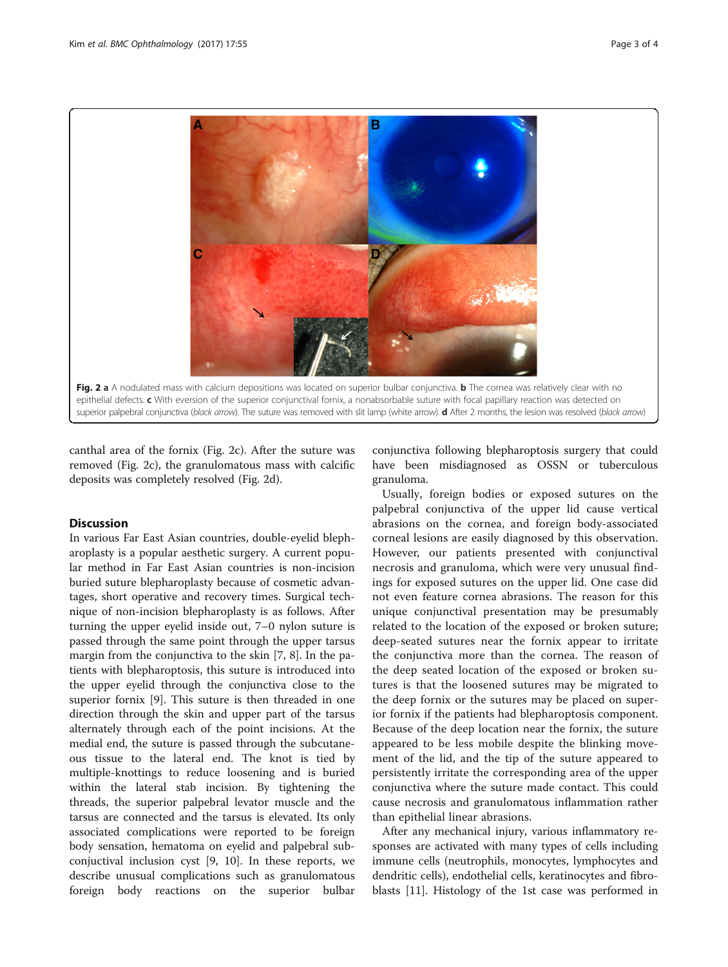<span id="page-2-0"></span>

canthal area of the fornix (Fig. 2c). After the suture was removed (Fig. 2c), the granulomatous mass with calcific deposits was completely resolved (Fig. 2d).

### Discussion

In various Far East Asian countries, double-eyelid blepharoplasty is a popular aesthetic surgery. A current popular method in Far East Asian countries is non-incision buried suture blepharoplasty because of cosmetic advantages, short operative and recovery times. Surgical technique of non-incision blepharoplasty is as follows. After turning the upper eyelid inside out, 7–0 nylon suture is passed through the same point through the upper tarsus margin from the conjunctiva to the skin [[7, 8\]](#page-3-0). In the patients with blepharoptosis, this suture is introduced into the upper eyelid through the conjunctiva close to the superior fornix [[9\]](#page-3-0). This suture is then threaded in one direction through the skin and upper part of the tarsus alternately through each of the point incisions. At the medial end, the suture is passed through the subcutaneous tissue to the lateral end. The knot is tied by multiple-knottings to reduce loosening and is buried within the lateral stab incision. By tightening the threads, the superior palpebral levator muscle and the tarsus are connected and the tarsus is elevated. Its only associated complications were reported to be foreign body sensation, hematoma on eyelid and palpebral subconjuctival inclusion cyst [[9](#page-3-0), [10](#page-3-0)]. In these reports, we describe unusual complications such as granulomatous foreign body reactions on the superior bulbar

conjunctiva following blepharoptosis surgery that could have been misdiagnosed as OSSN or tuberculous granuloma.

Usually, foreign bodies or exposed sutures on the palpebral conjunctiva of the upper lid cause vertical abrasions on the cornea, and foreign body-associated corneal lesions are easily diagnosed by this observation. However, our patients presented with conjunctival necrosis and granuloma, which were very unusual findings for exposed sutures on the upper lid. One case did not even feature cornea abrasions. The reason for this unique conjunctival presentation may be presumably related to the location of the exposed or broken suture; deep-seated sutures near the fornix appear to irritate the conjunctiva more than the cornea. The reason of the deep seated location of the exposed or broken sutures is that the loosened sutures may be migrated to the deep fornix or the sutures may be placed on superior fornix if the patients had blepharoptosis component. Because of the deep location near the fornix, the suture appeared to be less mobile despite the blinking movement of the lid, and the tip of the suture appeared to persistently irritate the corresponding area of the upper conjunctiva where the suture made contact. This could cause necrosis and granulomatous inflammation rather than epithelial linear abrasions.

After any mechanical injury, various inflammatory responses are activated with many types of cells including immune cells (neutrophils, monocytes, lymphocytes and dendritic cells), endothelial cells, keratinocytes and fibroblasts [\[11\]](#page-3-0). Histology of the 1st case was performed in